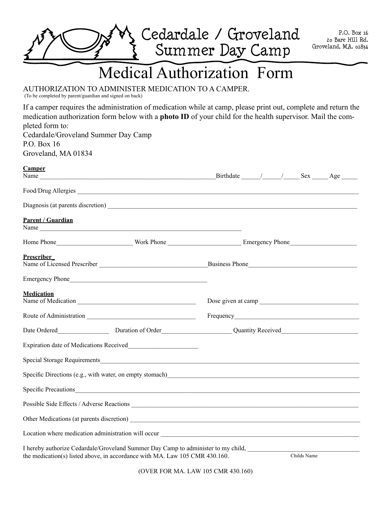

## Medical Authorization Form

Authorization to administer medication to a camper.

(To be completed by parent/guardian and signed on back)

If a camper requires the administration of medication while at camp, please print out, complete and return the medication authorization form below with a **photo ID** of your child for the health supervisor. Mail the completed form to: Cedardale/Groveland Summer Day Camp P.O. Box 16 Groveland, MA 01834 **Camper** Name \_\_\_\_\_\_\_\_\_\_\_\_\_\_\_\_\_\_\_\_\_\_\_\_\_\_\_\_\_\_\_\_\_\_\_\_\_\_\_\_\_\_\_\_\_\_\_\_\_\_\_\_\_\_\_Birthdate \_\_\_\_\_\_/\_\_\_\_\_\_/\_\_\_\_\_ Sex \_\_\_\_\_ Age \_\_\_\_\_ Food/Drug Allergies Diagnosis (at parents discretion) **Parent / Guardian** Name Home Phone\_\_\_\_\_\_\_\_\_\_\_\_\_\_\_\_\_\_\_\_\_\_\_\_ Work Phone \_\_\_\_\_\_\_\_\_\_\_\_\_\_\_\_\_\_\_\_\_\_\_ Emergency Phone\_\_\_\_\_\_\_\_\_\_\_\_\_\_\_\_\_\_\_\_\_ **Prescriber\_** Name of Licensed Prescriber \_\_\_\_\_\_\_\_\_\_\_\_\_\_\_\_\_\_\_\_\_\_\_\_\_\_\_\_\_\_\_\_\_\_Business Phone\_\_\_\_\_\_\_\_\_\_\_\_\_\_\_\_\_\_\_\_\_\_\_\_\_\_\_\_\_\_\_\_\_\_ Emergency Phone **Medication** Name of Medication and the contract of Medication and the contract of Medication and the contract of Medication Route of Administration \_\_\_\_\_\_\_\_\_\_\_\_\_\_\_\_\_\_\_\_\_\_\_\_\_\_\_\_\_\_\_\_\_\_ Frequency\_\_\_\_\_\_\_\_\_\_\_\_\_\_\_\_\_\_\_\_\_\_\_\_\_\_\_\_\_\_\_\_\_\_\_\_\_\_\_ Date Ordered **Duration of Order Duration of Order Quantity Received** Expiration date of Medications Received Special Storage Requirements and the set of the set of the set of the set of the set of the set of the set of the set of the set of the set of the set of the set of the set of the set of the set of the set of the set of th Specific Directions (e.g., with water, on empty stomach) Specific Precautions Possible Side Effects / Adverse Reactions  $\blacksquare$ Other Medications (at parents discretion) \_\_\_\_\_\_\_\_\_\_\_\_\_\_\_\_\_\_\_\_\_\_\_\_\_\_\_\_\_\_\_\_\_\_\_\_\_\_\_\_\_\_\_\_\_\_\_\_\_\_\_\_\_\_\_\_\_\_\_\_\_\_\_\_\_\_\_\_\_\_\_\_ Location where medication administration will occur I hereby authorize Cedardale/Groveland Summer Day Camp to administer to my child, the medication(s) listed above, in accordance with MA. Law 105 CMR 430.160. Childs Name

(over for MA. Law 105 CMR 430.160)